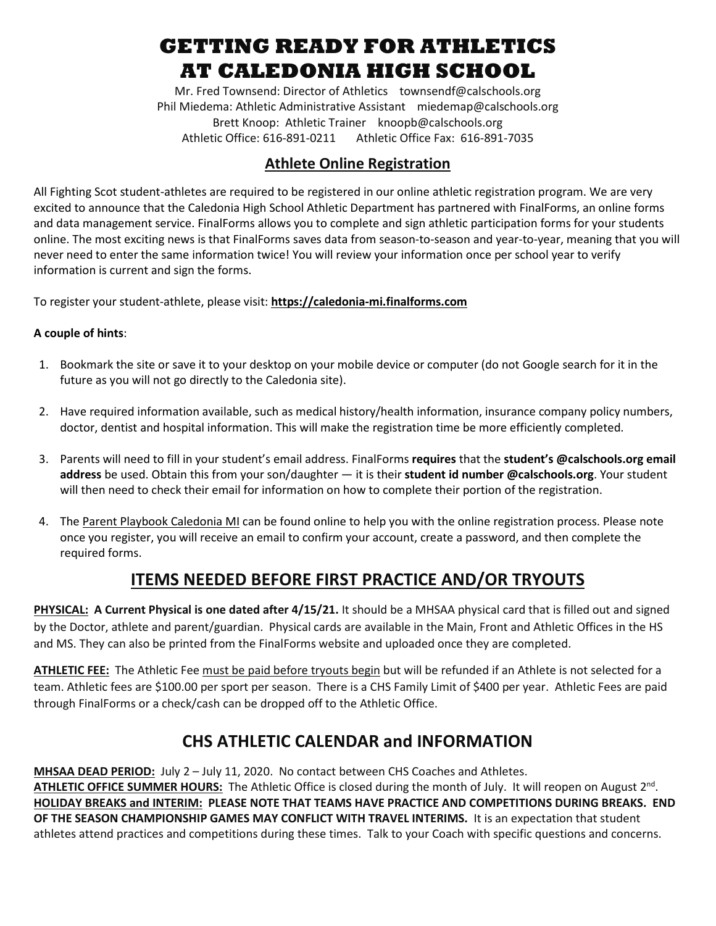## **GETTING READY FOR ATHLETICS AT CALEDONIA HIGH SCHOOL**

Mr. Fred Townsend: Director of Athletics townsendf@calschools.org Phil Miedema: Athletic Administrative Assistant miedemap@calschools.org Brett Knoop: Athletic Trainer knoopb@calschools.org Athletic Office: 616-891-0211 Athletic Office Fax: 616-891-7035

### **Athlete Online Registration**

All Fighting Scot student-athletes are required to be registered in our online athletic registration program. We are very excited to announce that the Caledonia High School Athletic Department has partnered with FinalForms, an online forms and data management service. FinalForms allows you to complete and sign athletic participation forms for your students online. The most exciting news is that FinalForms saves data from season-to-season and year-to-year, meaning that you will never need to enter the same information twice! You will review your information once per school year to verify information is current and sign the forms.

To register your student-athlete, please visit: **[https://caledonia-mi.finalforms.com](https://caledonia-mi.finalforms.com/)**

#### **A couple of hints**:

- 1. Bookmark the site or save it to your desktop on your mobile device or computer (do not Google search for it in the future as you will not go directly to the Caledonia site).
- 2. Have required information available, such as medical history/health information, insurance company policy numbers, doctor, dentist and hospital information. This will make the registration time be more efficiently completed.
- 3. Parents will need to fill in your student's email address. FinalForms **requires** that the **student's @calschools.org email address** be used. Obtain this from your son/daughter — it is their **student id number @calschools.org**. Your student will then need to check their email for information on how to complete their portion of the registration.
- 4. The Parent Playbook [Caledonia](https://docs.google.com/document/d/1_SvB6uOfZDsNlSaPBSfAv_8AjWMw1UUoJ0bJrrLRves/edit#heading=h.5pn1s3xs6ssp) MI can be found online to help you with the online registration process. Please note once you register, you will receive an email to confirm your account, create a password, and then complete the required forms.

## **ITEMS NEEDED BEFORE FIRST PRACTICE AND/OR TRYOUTS**

**PHYSICAL: A Current Physical is one dated after 4/15/21.** It should be a MHSAA physical card that is filled out and signed by the Doctor, athlete and parent/guardian. Physical cards are available in the Main, Front and Athletic Offices in the HS and MS. They can also be printed from the FinalForms website and uploaded once they are completed.

**ATHLETIC FEE:** The Athletic Fee must be paid before tryouts begin but will be refunded if an Athlete is not selected for a team. Athletic fees are \$100.00 per sport per season.There is a CHS Family Limit of \$400 per year. Athletic Fees are paid through FinalForms or a check/cash can be dropped off to the Athletic Office.

## **CHS ATHLETIC CALENDAR and INFORMATION**

**MHSAA DEAD PERIOD:** July 2 – July 11, 2020. No contact between CHS Coaches and Athletes. **ATHLETIC OFFICE SUMMER HOURS:** The Athletic Office is closed during the month of July. It will reopen on August 2nd. **HOLIDAY BREAKS and INTERIM: PLEASE NOTE THAT TEAMS HAVE PRACTICE AND COMPETITIONS DURING BREAKS. END OF THE SEASON CHAMPIONSHIP GAMES MAY CONFLICT WITH TRAVEL INTERIMS.** It is an expectation that student athletes attend practices and competitions during these times. Talk to your Coach with specific questions and concerns.